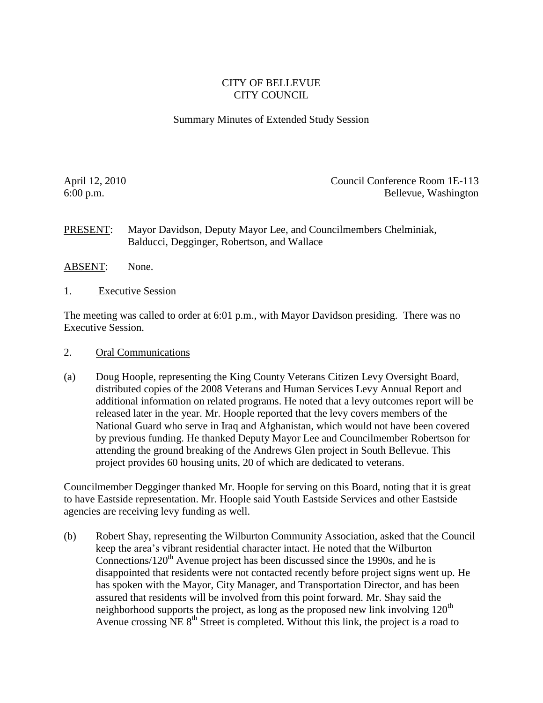## CITY OF BELLEVUE CITY COUNCIL

## Summary Minutes of Extended Study Session

April 12, 2010 Council Conference Room 1E-113 6:00 p.m. Bellevue, Washington

PRESENT: Mayor Davidson, Deputy Mayor Lee, and Councilmembers Chelminiak, Balducci, Degginger, Robertson, and Wallace

- ABSENT: None.
- 1. Executive Session

The meeting was called to order at 6:01 p.m., with Mayor Davidson presiding. There was no Executive Session.

- 2. Oral Communications
- (a) Doug Hoople, representing the King County Veterans Citizen Levy Oversight Board, distributed copies of the 2008 Veterans and Human Services Levy Annual Report and additional information on related programs. He noted that a levy outcomes report will be released later in the year. Mr. Hoople reported that the levy covers members of the National Guard who serve in Iraq and Afghanistan, which would not have been covered by previous funding. He thanked Deputy Mayor Lee and Councilmember Robertson for attending the ground breaking of the Andrews Glen project in South Bellevue. This project provides 60 housing units, 20 of which are dedicated to veterans.

Councilmember Degginger thanked Mr. Hoople for serving on this Board, noting that it is great to have Eastside representation. Mr. Hoople said Youth Eastside Services and other Eastside agencies are receiving levy funding as well.

(b) Robert Shay, representing the Wilburton Community Association, asked that the Council keep the area's vibrant residential character intact. He noted that the Wilburton Connections/120<sup>th</sup> Avenue project has been discussed since the 1990s, and he is disappointed that residents were not contacted recently before project signs went up. He has spoken with the Mayor, City Manager, and Transportation Director, and has been assured that residents will be involved from this point forward. Mr. Shay said the neighborhood supports the project, as long as the proposed new link involving  $120<sup>th</sup>$ Avenue crossing NE  $8<sup>th</sup>$  Street is completed. Without this link, the project is a road to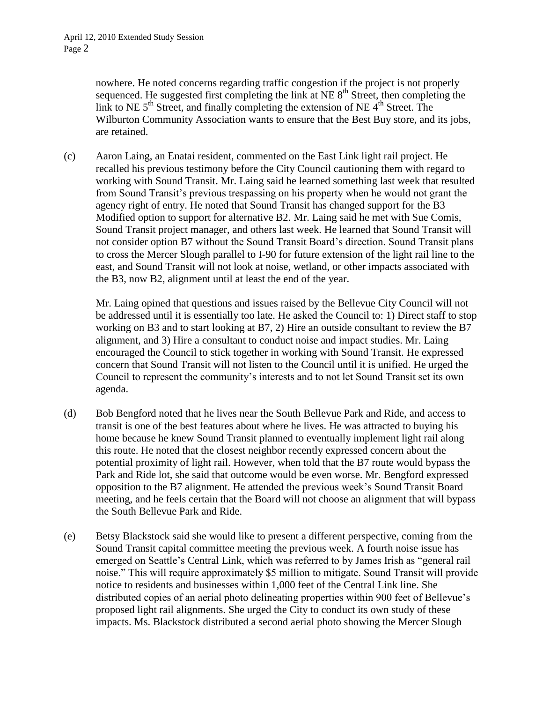nowhere. He noted concerns regarding traffic congestion if the project is not properly sequenced. He suggested first completing the link at NE  $8<sup>th</sup>$  Street, then completing the link to NE  $5<sup>th</sup>$  Street, and finally completing the extension of NE  $4<sup>th</sup>$  Street. The Wilburton Community Association wants to ensure that the Best Buy store, and its jobs, are retained.

(c) Aaron Laing, an Enatai resident, commented on the East Link light rail project. He recalled his previous testimony before the City Council cautioning them with regard to working with Sound Transit. Mr. Laing said he learned something last week that resulted from Sound Transit's previous trespassing on his property when he would not grant the agency right of entry. He noted that Sound Transit has changed support for the B3 Modified option to support for alternative B2. Mr. Laing said he met with Sue Comis, Sound Transit project manager, and others last week. He learned that Sound Transit will not consider option B7 without the Sound Transit Board's direction. Sound Transit plans to cross the Mercer Slough parallel to I-90 for future extension of the light rail line to the east, and Sound Transit will not look at noise, wetland, or other impacts associated with the B3, now B2, alignment until at least the end of the year.

Mr. Laing opined that questions and issues raised by the Bellevue City Council will not be addressed until it is essentially too late. He asked the Council to: 1) Direct staff to stop working on B3 and to start looking at B7, 2) Hire an outside consultant to review the B7 alignment, and 3) Hire a consultant to conduct noise and impact studies. Mr. Laing encouraged the Council to stick together in working with Sound Transit. He expressed concern that Sound Transit will not listen to the Council until it is unified. He urged the Council to represent the community's interests and to not let Sound Transit set its own agenda.

- (d) Bob Bengford noted that he lives near the South Bellevue Park and Ride, and access to transit is one of the best features about where he lives. He was attracted to buying his home because he knew Sound Transit planned to eventually implement light rail along this route. He noted that the closest neighbor recently expressed concern about the potential proximity of light rail. However, when told that the B7 route would bypass the Park and Ride lot, she said that outcome would be even worse. Mr. Bengford expressed opposition to the B7 alignment. He attended the previous week's Sound Transit Board meeting, and he feels certain that the Board will not choose an alignment that will bypass the South Bellevue Park and Ride.
- (e) Betsy Blackstock said she would like to present a different perspective, coming from the Sound Transit capital committee meeting the previous week. A fourth noise issue has emerged on Seattle's Central Link, which was referred to by James Irish as "general rail noise." This will require approximately \$5 million to mitigate. Sound Transit will provide notice to residents and businesses within 1,000 feet of the Central Link line. She distributed copies of an aerial photo delineating properties within 900 feet of Bellevue's proposed light rail alignments. She urged the City to conduct its own study of these impacts. Ms. Blackstock distributed a second aerial photo showing the Mercer Slough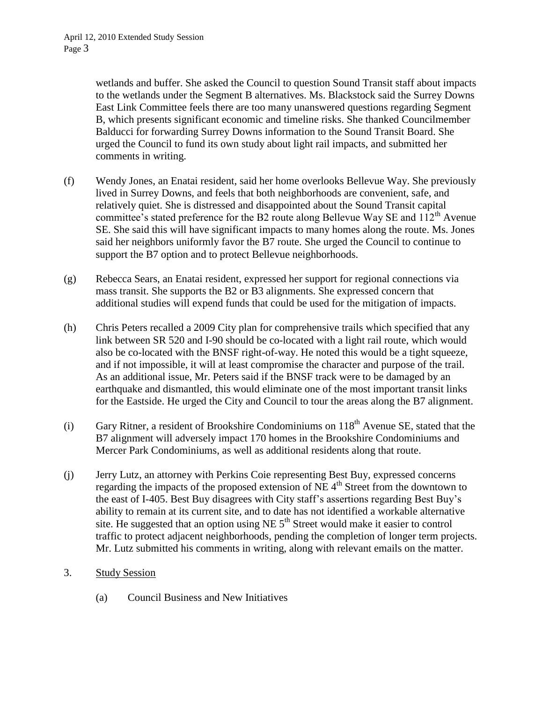wetlands and buffer. She asked the Council to question Sound Transit staff about impacts to the wetlands under the Segment B alternatives. Ms. Blackstock said the Surrey Downs East Link Committee feels there are too many unanswered questions regarding Segment B, which presents significant economic and timeline risks. She thanked Councilmember Balducci for forwarding Surrey Downs information to the Sound Transit Board. She urged the Council to fund its own study about light rail impacts, and submitted her comments in writing.

- (f) Wendy Jones, an Enatai resident, said her home overlooks Bellevue Way. She previously lived in Surrey Downs, and feels that both neighborhoods are convenient, safe, and relatively quiet. She is distressed and disappointed about the Sound Transit capital committee's stated preference for the B2 route along Bellevue Way SE and  $112<sup>th</sup>$  Avenue SE. She said this will have significant impacts to many homes along the route. Ms. Jones said her neighbors uniformly favor the B7 route. She urged the Council to continue to support the B7 option and to protect Bellevue neighborhoods.
- (g) Rebecca Sears, an Enatai resident, expressed her support for regional connections via mass transit. She supports the B2 or B3 alignments. She expressed concern that additional studies will expend funds that could be used for the mitigation of impacts.
- (h) Chris Peters recalled a 2009 City plan for comprehensive trails which specified that any link between SR 520 and I-90 should be co-located with a light rail route, which would also be co-located with the BNSF right-of-way. He noted this would be a tight squeeze, and if not impossible, it will at least compromise the character and purpose of the trail. As an additional issue, Mr. Peters said if the BNSF track were to be damaged by an earthquake and dismantled, this would eliminate one of the most important transit links for the Eastside. He urged the City and Council to tour the areas along the B7 alignment.
- (i) Gary Ritner, a resident of Brookshire Condominiums on  $118<sup>th</sup>$  Avenue SE, stated that the B7 alignment will adversely impact 170 homes in the Brookshire Condominiums and Mercer Park Condominiums, as well as additional residents along that route.
- (j) Jerry Lutz, an attorney with Perkins Coie representing Best Buy, expressed concerns regarding the impacts of the proposed extension of  $NE$  4<sup>th</sup> Street from the downtown to the east of I-405. Best Buy disagrees with City staff's assertions regarding Best Buy's ability to remain at its current site, and to date has not identified a workable alternative site. He suggested that an option using NE  $5<sup>th</sup>$  Street would make it easier to control traffic to protect adjacent neighborhoods, pending the completion of longer term projects. Mr. Lutz submitted his comments in writing, along with relevant emails on the matter.
- 3. Study Session
	- (a) Council Business and New Initiatives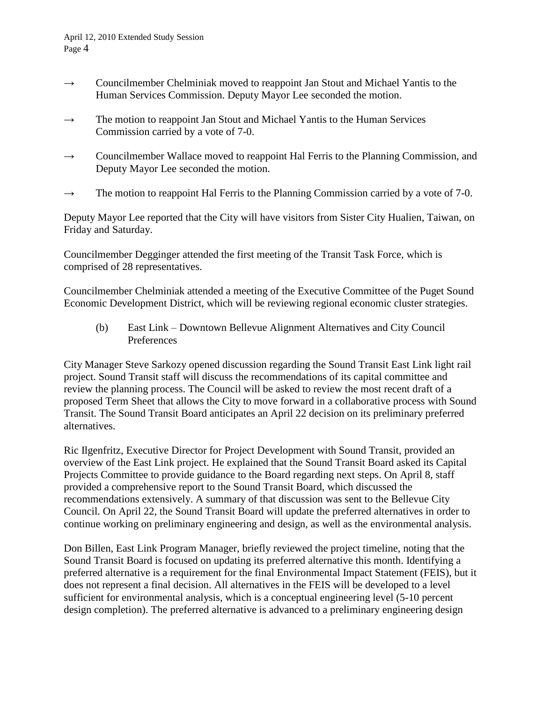- $\rightarrow$  Councilmember Chelminiak moved to reappoint Jan Stout and Michael Yantis to the Human Services Commission. Deputy Mayor Lee seconded the motion.
- $\rightarrow$  The motion to reappoint Jan Stout and Michael Yantis to the Human Services Commission carried by a vote of 7-0.
- $\rightarrow$  Councilmember Wallace moved to reappoint Hal Ferris to the Planning Commission, and Deputy Mayor Lee seconded the motion.
- $\rightarrow$  The motion to reappoint Hal Ferris to the Planning Commission carried by a vote of 7-0.

Deputy Mayor Lee reported that the City will have visitors from Sister City Hualien, Taiwan, on Friday and Saturday.

Councilmember Degginger attended the first meeting of the Transit Task Force, which is comprised of 28 representatives.

Councilmember Chelminiak attended a meeting of the Executive Committee of the Puget Sound Economic Development District, which will be reviewing regional economic cluster strategies.

(b) East Link – Downtown Bellevue Alignment Alternatives and City Council Preferences

City Manager Steve Sarkozy opened discussion regarding the Sound Transit East Link light rail project. Sound Transit staff will discuss the recommendations of its capital committee and review the planning process. The Council will be asked to review the most recent draft of a proposed Term Sheet that allows the City to move forward in a collaborative process with Sound Transit. The Sound Transit Board anticipates an April 22 decision on its preliminary preferred alternatives.

Ric Ilgenfritz, Executive Director for Project Development with Sound Transit, provided an overview of the East Link project. He explained that the Sound Transit Board asked its Capital Projects Committee to provide guidance to the Board regarding next steps. On April 8, staff provided a comprehensive report to the Sound Transit Board, which discussed the recommendations extensively. A summary of that discussion was sent to the Bellevue City Council. On April 22, the Sound Transit Board will update the preferred alternatives in order to continue working on preliminary engineering and design, as well as the environmental analysis.

Don Billen, East Link Program Manager, briefly reviewed the project timeline, noting that the Sound Transit Board is focused on updating its preferred alternative this month. Identifying a preferred alternative is a requirement for the final Environmental Impact Statement (FEIS), but it does not represent a final decision. All alternatives in the FEIS will be developed to a level sufficient for environmental analysis, which is a conceptual engineering level (5-10 percent design completion). The preferred alternative is advanced to a preliminary engineering design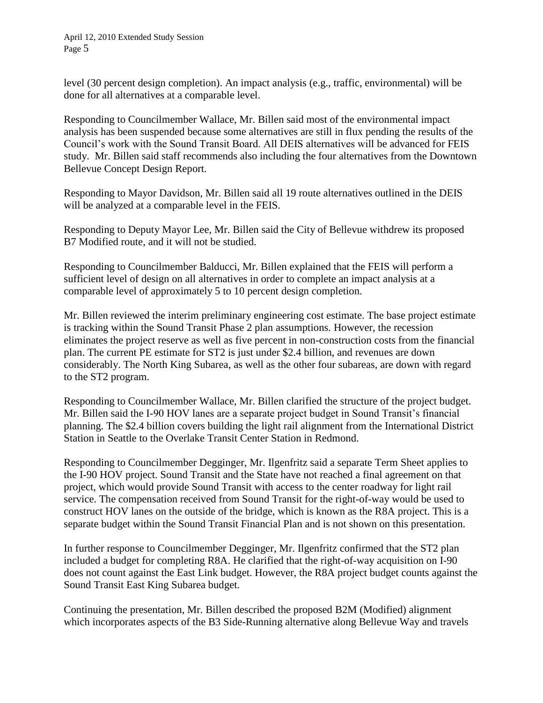level (30 percent design completion). An impact analysis (e.g., traffic, environmental) will be done for all alternatives at a comparable level.

Responding to Councilmember Wallace, Mr. Billen said most of the environmental impact analysis has been suspended because some alternatives are still in flux pending the results of the Council's work with the Sound Transit Board. All DEIS alternatives will be advanced for FEIS study. Mr. Billen said staff recommends also including the four alternatives from the Downtown Bellevue Concept Design Report.

Responding to Mayor Davidson, Mr. Billen said all 19 route alternatives outlined in the DEIS will be analyzed at a comparable level in the FEIS.

Responding to Deputy Mayor Lee, Mr. Billen said the City of Bellevue withdrew its proposed B7 Modified route, and it will not be studied.

Responding to Councilmember Balducci, Mr. Billen explained that the FEIS will perform a sufficient level of design on all alternatives in order to complete an impact analysis at a comparable level of approximately 5 to 10 percent design completion.

Mr. Billen reviewed the interim preliminary engineering cost estimate. The base project estimate is tracking within the Sound Transit Phase 2 plan assumptions. However, the recession eliminates the project reserve as well as five percent in non-construction costs from the financial plan. The current PE estimate for ST2 is just under \$2.4 billion, and revenues are down considerably. The North King Subarea, as well as the other four subareas, are down with regard to the ST2 program.

Responding to Councilmember Wallace, Mr. Billen clarified the structure of the project budget. Mr. Billen said the I-90 HOV lanes are a separate project budget in Sound Transit's financial planning. The \$2.4 billion covers building the light rail alignment from the International District Station in Seattle to the Overlake Transit Center Station in Redmond.

Responding to Councilmember Degginger, Mr. Ilgenfritz said a separate Term Sheet applies to the I-90 HOV project. Sound Transit and the State have not reached a final agreement on that project, which would provide Sound Transit with access to the center roadway for light rail service. The compensation received from Sound Transit for the right-of-way would be used to construct HOV lanes on the outside of the bridge, which is known as the R8A project. This is a separate budget within the Sound Transit Financial Plan and is not shown on this presentation.

In further response to Councilmember Degginger, Mr. Ilgenfritz confirmed that the ST2 plan included a budget for completing R8A. He clarified that the right-of-way acquisition on I-90 does not count against the East Link budget. However, the R8A project budget counts against the Sound Transit East King Subarea budget.

Continuing the presentation, Mr. Billen described the proposed B2M (Modified) alignment which incorporates aspects of the B3 Side-Running alternative along Bellevue Way and travels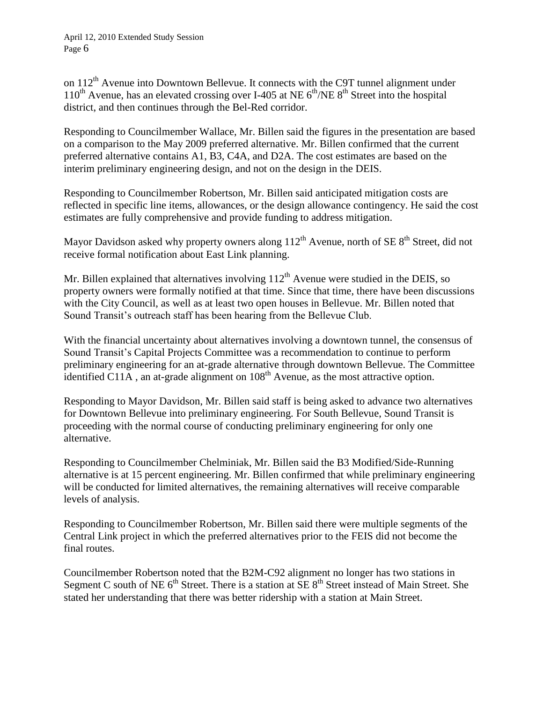on 112<sup>th</sup> Avenue into Downtown Bellevue. It connects with the C9T tunnel alignment under  $110^{th}$  Avenue, has an elevated crossing over I-405 at NE  $6^{th}$ /NE  $8^{th}$  Street into the hospital district, and then continues through the Bel-Red corridor.

Responding to Councilmember Wallace, Mr. Billen said the figures in the presentation are based on a comparison to the May 2009 preferred alternative. Mr. Billen confirmed that the current preferred alternative contains A1, B3, C4A, and D2A. The cost estimates are based on the interim preliminary engineering design, and not on the design in the DEIS.

Responding to Councilmember Robertson, Mr. Billen said anticipated mitigation costs are reflected in specific line items, allowances, or the design allowance contingency. He said the cost estimates are fully comprehensive and provide funding to address mitigation.

Mayor Davidson asked why property owners along  $112<sup>th</sup>$  Avenue, north of SE  $8<sup>th</sup>$  Street, did not receive formal notification about East Link planning.

Mr. Billen explained that alternatives involving  $112<sup>th</sup>$  Avenue were studied in the DEIS, so property owners were formally notified at that time. Since that time, there have been discussions with the City Council, as well as at least two open houses in Bellevue. Mr. Billen noted that Sound Transit's outreach staff has been hearing from the Bellevue Club.

With the financial uncertainty about alternatives involving a downtown tunnel, the consensus of Sound Transit's Capital Projects Committee was a recommendation to continue to perform preliminary engineering for an at-grade alternative through downtown Bellevue. The Committee identified  $C11A$ , an at-grade alignment on  $108<sup>th</sup>$  Avenue, as the most attractive option.

Responding to Mayor Davidson, Mr. Billen said staff is being asked to advance two alternatives for Downtown Bellevue into preliminary engineering. For South Bellevue, Sound Transit is proceeding with the normal course of conducting preliminary engineering for only one alternative.

Responding to Councilmember Chelminiak, Mr. Billen said the B3 Modified/Side-Running alternative is at 15 percent engineering. Mr. Billen confirmed that while preliminary engineering will be conducted for limited alternatives, the remaining alternatives will receive comparable levels of analysis.

Responding to Councilmember Robertson, Mr. Billen said there were multiple segments of the Central Link project in which the preferred alternatives prior to the FEIS did not become the final routes.

Councilmember Robertson noted that the B2M-C92 alignment no longer has two stations in Segment C south of NE  $6<sup>th</sup>$  Street. There is a station at  $SE 8<sup>th</sup>$  Street instead of Main Street. She stated her understanding that there was better ridership with a station at Main Street.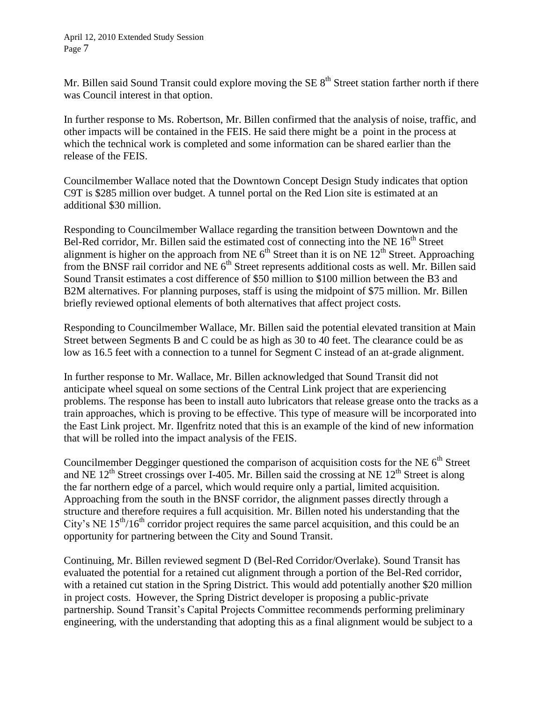Mr. Billen said Sound Transit could explore moving the SE  $8<sup>th</sup>$  Street station farther north if there was Council interest in that option.

In further response to Ms. Robertson, Mr. Billen confirmed that the analysis of noise, traffic, and other impacts will be contained in the FEIS. He said there might be a point in the process at which the technical work is completed and some information can be shared earlier than the release of the FEIS.

Councilmember Wallace noted that the Downtown Concept Design Study indicates that option C9T is \$285 million over budget. A tunnel portal on the Red Lion site is estimated at an additional \$30 million.

Responding to Councilmember Wallace regarding the transition between Downtown and the Bel-Red corridor, Mr. Billen said the estimated cost of connecting into the NE  $16<sup>th</sup>$  Street alignment is higher on the approach from NE  $6<sup>th</sup>$  Street than it is on NE  $12<sup>th</sup>$  Street. Approaching from the BNSF rail corridor and NE  $6<sup>th</sup>$  Street represents additional costs as well. Mr. Billen said Sound Transit estimates a cost difference of \$50 million to \$100 million between the B3 and B2M alternatives. For planning purposes, staff is using the midpoint of \$75 million. Mr. Billen briefly reviewed optional elements of both alternatives that affect project costs.

Responding to Councilmember Wallace, Mr. Billen said the potential elevated transition at Main Street between Segments B and C could be as high as 30 to 40 feet. The clearance could be as low as 16.5 feet with a connection to a tunnel for Segment C instead of an at-grade alignment.

In further response to Mr. Wallace, Mr. Billen acknowledged that Sound Transit did not anticipate wheel squeal on some sections of the Central Link project that are experiencing problems. The response has been to install auto lubricators that release grease onto the tracks as a train approaches, which is proving to be effective. This type of measure will be incorporated into the East Link project. Mr. Ilgenfritz noted that this is an example of the kind of new information that will be rolled into the impact analysis of the FEIS.

Councilmember Degginger questioned the comparison of acquisition costs for the NE  $6<sup>th</sup>$  Street and NE  $12<sup>th</sup>$  Street crossings over I-405. Mr. Billen said the crossing at NE  $12<sup>th</sup>$  Street is along the far northern edge of a parcel, which would require only a partial, limited acquisition. Approaching from the south in the BNSF corridor, the alignment passes directly through a structure and therefore requires a full acquisition. Mr. Billen noted his understanding that the City's NE  $15<sup>th</sup>/16<sup>th</sup>$  corridor project requires the same parcel acquisition, and this could be an opportunity for partnering between the City and Sound Transit.

Continuing, Mr. Billen reviewed segment D (Bel-Red Corridor/Overlake). Sound Transit has evaluated the potential for a retained cut alignment through a portion of the Bel-Red corridor, with a retained cut station in the Spring District. This would add potentially another \$20 million in project costs. However, the Spring District developer is proposing a public-private partnership. Sound Transit's Capital Projects Committee recommends performing preliminary engineering, with the understanding that adopting this as a final alignment would be subject to a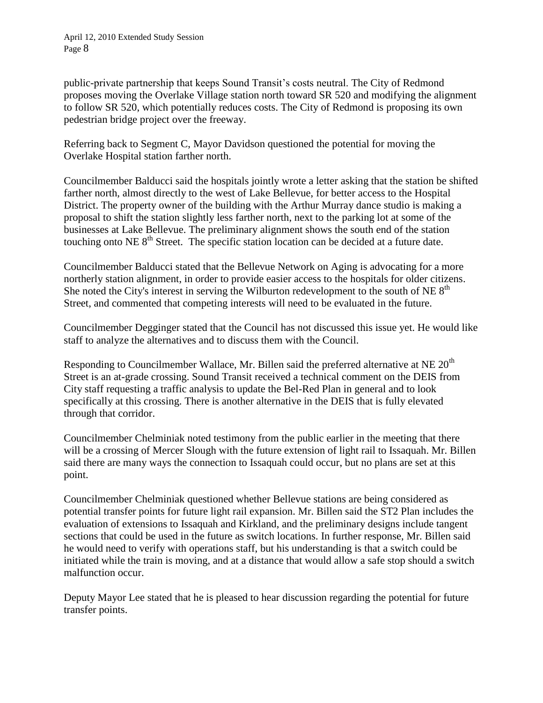public-private partnership that keeps Sound Transit's costs neutral. The City of Redmond proposes moving the Overlake Village station north toward SR 520 and modifying the alignment to follow SR 520, which potentially reduces costs. The City of Redmond is proposing its own pedestrian bridge project over the freeway.

Referring back to Segment C, Mayor Davidson questioned the potential for moving the Overlake Hospital station farther north.

Councilmember Balducci said the hospitals jointly wrote a letter asking that the station be shifted farther north, almost directly to the west of Lake Bellevue, for better access to the Hospital District. The property owner of the building with the Arthur Murray dance studio is making a proposal to shift the station slightly less farther north, next to the parking lot at some of the businesses at Lake Bellevue. The preliminary alignment shows the south end of the station touching onto NE  $8<sup>th</sup>$  Street. The specific station location can be decided at a future date.

Councilmember Balducci stated that the Bellevue Network on Aging is advocating for a more northerly station alignment, in order to provide easier access to the hospitals for older citizens. She noted the City's interest in serving the Wilburton redevelopment to the south of NE  $8<sup>th</sup>$ Street, and commented that competing interests will need to be evaluated in the future.

Councilmember Degginger stated that the Council has not discussed this issue yet. He would like staff to analyze the alternatives and to discuss them with the Council.

Responding to Councilmember Wallace, Mr. Billen said the preferred alternative at NE  $20<sup>th</sup>$ Street is an at-grade crossing. Sound Transit received a technical comment on the DEIS from City staff requesting a traffic analysis to update the Bel-Red Plan in general and to look specifically at this crossing. There is another alternative in the DEIS that is fully elevated through that corridor.

Councilmember Chelminiak noted testimony from the public earlier in the meeting that there will be a crossing of Mercer Slough with the future extension of light rail to Issaquah. Mr. Billen said there are many ways the connection to Issaquah could occur, but no plans are set at this point.

Councilmember Chelminiak questioned whether Bellevue stations are being considered as potential transfer points for future light rail expansion. Mr. Billen said the ST2 Plan includes the evaluation of extensions to Issaquah and Kirkland, and the preliminary designs include tangent sections that could be used in the future as switch locations. In further response, Mr. Billen said he would need to verify with operations staff, but his understanding is that a switch could be initiated while the train is moving, and at a distance that would allow a safe stop should a switch malfunction occur.

Deputy Mayor Lee stated that he is pleased to hear discussion regarding the potential for future transfer points.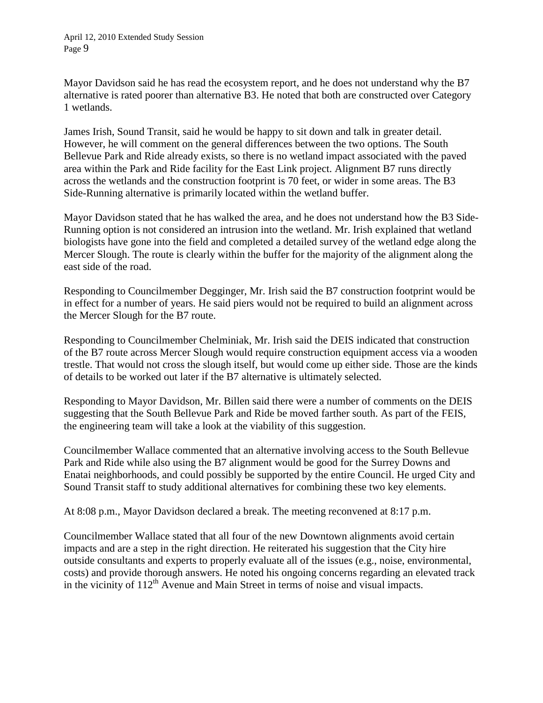Mayor Davidson said he has read the ecosystem report, and he does not understand why the B7 alternative is rated poorer than alternative B3. He noted that both are constructed over Category 1 wetlands.

James Irish, Sound Transit, said he would be happy to sit down and talk in greater detail. However, he will comment on the general differences between the two options. The South Bellevue Park and Ride already exists, so there is no wetland impact associated with the paved area within the Park and Ride facility for the East Link project. Alignment B7 runs directly across the wetlands and the construction footprint is 70 feet, or wider in some areas. The B3 Side-Running alternative is primarily located within the wetland buffer.

Mayor Davidson stated that he has walked the area, and he does not understand how the B3 Side-Running option is not considered an intrusion into the wetland. Mr. Irish explained that wetland biologists have gone into the field and completed a detailed survey of the wetland edge along the Mercer Slough. The route is clearly within the buffer for the majority of the alignment along the east side of the road.

Responding to Councilmember Degginger, Mr. Irish said the B7 construction footprint would be in effect for a number of years. He said piers would not be required to build an alignment across the Mercer Slough for the B7 route.

Responding to Councilmember Chelminiak, Mr. Irish said the DEIS indicated that construction of the B7 route across Mercer Slough would require construction equipment access via a wooden trestle. That would not cross the slough itself, but would come up either side. Those are the kinds of details to be worked out later if the B7 alternative is ultimately selected.

Responding to Mayor Davidson, Mr. Billen said there were a number of comments on the DEIS suggesting that the South Bellevue Park and Ride be moved farther south. As part of the FEIS, the engineering team will take a look at the viability of this suggestion.

Councilmember Wallace commented that an alternative involving access to the South Bellevue Park and Ride while also using the B7 alignment would be good for the Surrey Downs and Enatai neighborhoods, and could possibly be supported by the entire Council. He urged City and Sound Transit staff to study additional alternatives for combining these two key elements.

At 8:08 p.m., Mayor Davidson declared a break. The meeting reconvened at 8:17 p.m.

Councilmember Wallace stated that all four of the new Downtown alignments avoid certain impacts and are a step in the right direction. He reiterated his suggestion that the City hire outside consultants and experts to properly evaluate all of the issues (e.g., noise, environmental, costs) and provide thorough answers. He noted his ongoing concerns regarding an elevated track in the vicinity of  $112<sup>th</sup>$  Avenue and Main Street in terms of noise and visual impacts.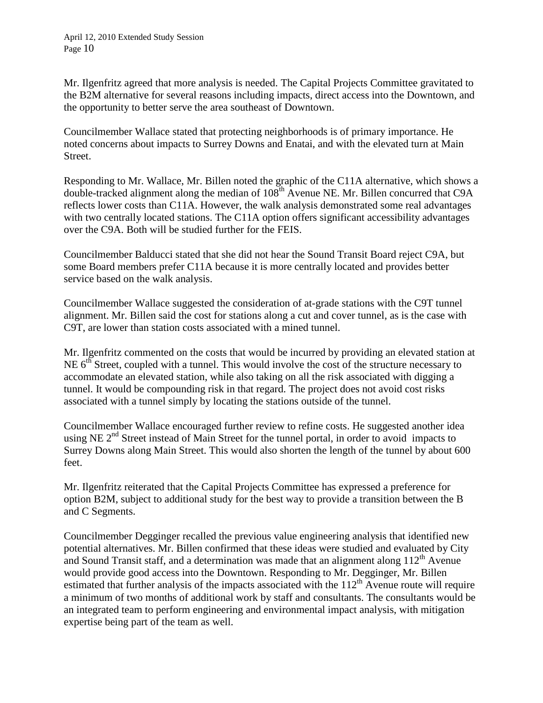Mr. Ilgenfritz agreed that more analysis is needed. The Capital Projects Committee gravitated to the B2M alternative for several reasons including impacts, direct access into the Downtown, and the opportunity to better serve the area southeast of Downtown.

Councilmember Wallace stated that protecting neighborhoods is of primary importance. He noted concerns about impacts to Surrey Downs and Enatai, and with the elevated turn at Main Street.

Responding to Mr. Wallace, Mr. Billen noted the graphic of the C11A alternative, which shows a double-tracked alignment along the median of  $108<sup>th</sup>$  Avenue NE. Mr. Billen concurred that C9A reflects lower costs than C11A. However, the walk analysis demonstrated some real advantages with two centrally located stations. The C11A option offers significant accessibility advantages over the C9A. Both will be studied further for the FEIS.

Councilmember Balducci stated that she did not hear the Sound Transit Board reject C9A, but some Board members prefer C11A because it is more centrally located and provides better service based on the walk analysis.

Councilmember Wallace suggested the consideration of at-grade stations with the C9T tunnel alignment. Mr. Billen said the cost for stations along a cut and cover tunnel, as is the case with C9T, are lower than station costs associated with a mined tunnel.

Mr. Ilgenfritz commented on the costs that would be incurred by providing an elevated station at NE  $6^{th}$  Street, coupled with a tunnel. This would involve the cost of the structure necessary to accommodate an elevated station, while also taking on all the risk associated with digging a tunnel. It would be compounding risk in that regard. The project does not avoid cost risks associated with a tunnel simply by locating the stations outside of the tunnel.

Councilmember Wallace encouraged further review to refine costs. He suggested another idea using NE  $2<sup>nd</sup>$  Street instead of Main Street for the tunnel portal, in order to avoid impacts to Surrey Downs along Main Street. This would also shorten the length of the tunnel by about 600 feet.

Mr. Ilgenfritz reiterated that the Capital Projects Committee has expressed a preference for option B2M, subject to additional study for the best way to provide a transition between the B and C Segments.

Councilmember Degginger recalled the previous value engineering analysis that identified new potential alternatives. Mr. Billen confirmed that these ideas were studied and evaluated by City and Sound Transit staff, and a determination was made that an alignment along  $112<sup>th</sup>$  Avenue would provide good access into the Downtown. Responding to Mr. Degginger, Mr. Billen estimated that further analysis of the impacts associated with the  $112<sup>th</sup>$  Avenue route will require a minimum of two months of additional work by staff and consultants. The consultants would be an integrated team to perform engineering and environmental impact analysis, with mitigation expertise being part of the team as well.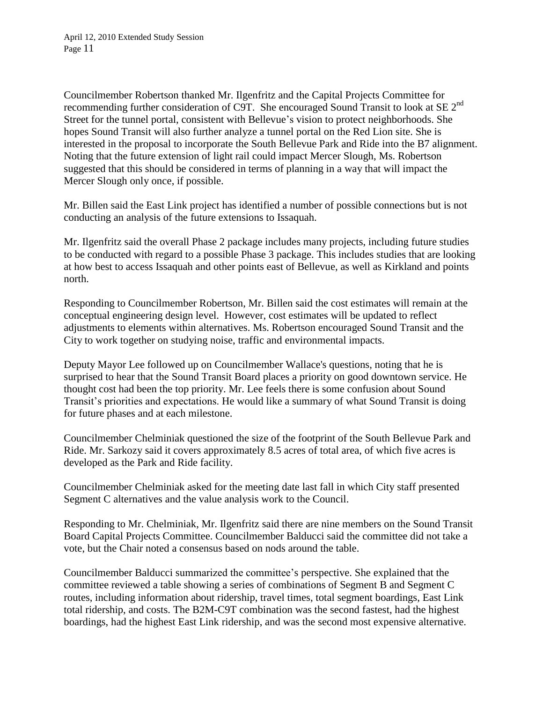Councilmember Robertson thanked Mr. Ilgenfritz and the Capital Projects Committee for recommending further consideration of C9T. She encouraged Sound Transit to look at SE  $2<sup>nd</sup>$ Street for the tunnel portal, consistent with Bellevue's vision to protect neighborhoods. She hopes Sound Transit will also further analyze a tunnel portal on the Red Lion site. She is interested in the proposal to incorporate the South Bellevue Park and Ride into the B7 alignment. Noting that the future extension of light rail could impact Mercer Slough, Ms. Robertson suggested that this should be considered in terms of planning in a way that will impact the Mercer Slough only once, if possible.

Mr. Billen said the East Link project has identified a number of possible connections but is not conducting an analysis of the future extensions to Issaquah.

Mr. Ilgenfritz said the overall Phase 2 package includes many projects, including future studies to be conducted with regard to a possible Phase 3 package. This includes studies that are looking at how best to access Issaquah and other points east of Bellevue, as well as Kirkland and points north.

Responding to Councilmember Robertson, Mr. Billen said the cost estimates will remain at the conceptual engineering design level. However, cost estimates will be updated to reflect adjustments to elements within alternatives. Ms. Robertson encouraged Sound Transit and the City to work together on studying noise, traffic and environmental impacts.

Deputy Mayor Lee followed up on Councilmember Wallace's questions, noting that he is surprised to hear that the Sound Transit Board places a priority on good downtown service. He thought cost had been the top priority. Mr. Lee feels there is some confusion about Sound Transit's priorities and expectations. He would like a summary of what Sound Transit is doing for future phases and at each milestone.

Councilmember Chelminiak questioned the size of the footprint of the South Bellevue Park and Ride. Mr. Sarkozy said it covers approximately 8.5 acres of total area, of which five acres is developed as the Park and Ride facility.

Councilmember Chelminiak asked for the meeting date last fall in which City staff presented Segment C alternatives and the value analysis work to the Council.

Responding to Mr. Chelminiak, Mr. Ilgenfritz said there are nine members on the Sound Transit Board Capital Projects Committee. Councilmember Balducci said the committee did not take a vote, but the Chair noted a consensus based on nods around the table.

Councilmember Balducci summarized the committee's perspective. She explained that the committee reviewed a table showing a series of combinations of Segment B and Segment C routes, including information about ridership, travel times, total segment boardings, East Link total ridership, and costs. The B2M-C9T combination was the second fastest, had the highest boardings, had the highest East Link ridership, and was the second most expensive alternative.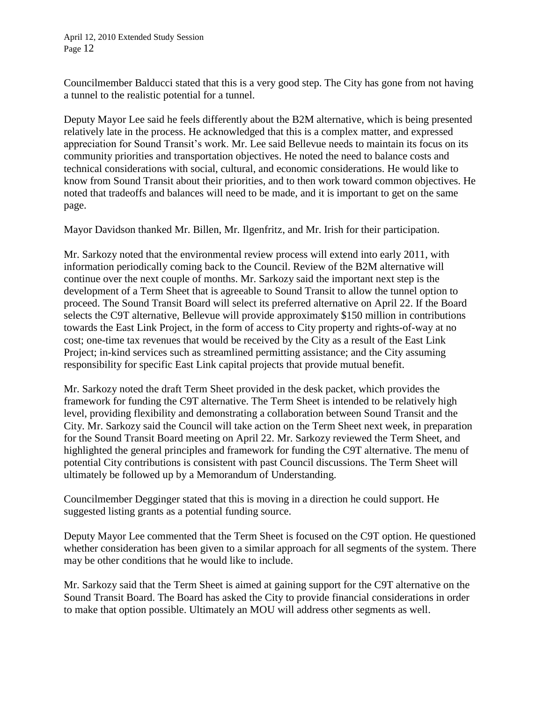April 12, 2010 Extended Study Session Page 12

Councilmember Balducci stated that this is a very good step. The City has gone from not having a tunnel to the realistic potential for a tunnel.

Deputy Mayor Lee said he feels differently about the B2M alternative, which is being presented relatively late in the process. He acknowledged that this is a complex matter, and expressed appreciation for Sound Transit's work. Mr. Lee said Bellevue needs to maintain its focus on its community priorities and transportation objectives. He noted the need to balance costs and technical considerations with social, cultural, and economic considerations. He would like to know from Sound Transit about their priorities, and to then work toward common objectives. He noted that tradeoffs and balances will need to be made, and it is important to get on the same page.

Mayor Davidson thanked Mr. Billen, Mr. Ilgenfritz, and Mr. Irish for their participation.

Mr. Sarkozy noted that the environmental review process will extend into early 2011, with information periodically coming back to the Council. Review of the B2M alternative will continue over the next couple of months. Mr. Sarkozy said the important next step is the development of a Term Sheet that is agreeable to Sound Transit to allow the tunnel option to proceed. The Sound Transit Board will select its preferred alternative on April 22. If the Board selects the C9T alternative, Bellevue will provide approximately \$150 million in contributions towards the East Link Project, in the form of access to City property and rights-of-way at no cost; one-time tax revenues that would be received by the City as a result of the East Link Project; in-kind services such as streamlined permitting assistance; and the City assuming responsibility for specific East Link capital projects that provide mutual benefit.

Mr. Sarkozy noted the draft Term Sheet provided in the desk packet, which provides the framework for funding the C9T alternative. The Term Sheet is intended to be relatively high level, providing flexibility and demonstrating a collaboration between Sound Transit and the City. Mr. Sarkozy said the Council will take action on the Term Sheet next week, in preparation for the Sound Transit Board meeting on April 22. Mr. Sarkozy reviewed the Term Sheet, and highlighted the general principles and framework for funding the C9T alternative. The menu of potential City contributions is consistent with past Council discussions. The Term Sheet will ultimately be followed up by a Memorandum of Understanding.

Councilmember Degginger stated that this is moving in a direction he could support. He suggested listing grants as a potential funding source.

Deputy Mayor Lee commented that the Term Sheet is focused on the C9T option. He questioned whether consideration has been given to a similar approach for all segments of the system. There may be other conditions that he would like to include.

Mr. Sarkozy said that the Term Sheet is aimed at gaining support for the C9T alternative on the Sound Transit Board. The Board has asked the City to provide financial considerations in order to make that option possible. Ultimately an MOU will address other segments as well.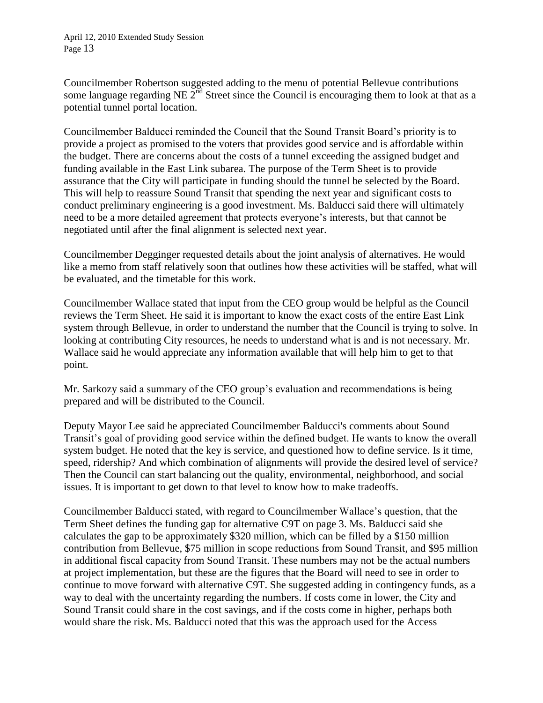Councilmember Robertson suggested adding to the menu of potential Bellevue contributions some language regarding NE  $2^{nd}$  Street since the Council is encouraging them to look at that as a potential tunnel portal location.

Councilmember Balducci reminded the Council that the Sound Transit Board's priority is to provide a project as promised to the voters that provides good service and is affordable within the budget. There are concerns about the costs of a tunnel exceeding the assigned budget and funding available in the East Link subarea. The purpose of the Term Sheet is to provide assurance that the City will participate in funding should the tunnel be selected by the Board. This will help to reassure Sound Transit that spending the next year and significant costs to conduct preliminary engineering is a good investment. Ms. Balducci said there will ultimately need to be a more detailed agreement that protects everyone's interests, but that cannot be negotiated until after the final alignment is selected next year.

Councilmember Degginger requested details about the joint analysis of alternatives. He would like a memo from staff relatively soon that outlines how these activities will be staffed, what will be evaluated, and the timetable for this work.

Councilmember Wallace stated that input from the CEO group would be helpful as the Council reviews the Term Sheet. He said it is important to know the exact costs of the entire East Link system through Bellevue, in order to understand the number that the Council is trying to solve. In looking at contributing City resources, he needs to understand what is and is not necessary. Mr. Wallace said he would appreciate any information available that will help him to get to that point.

Mr. Sarkozy said a summary of the CEO group's evaluation and recommendations is being prepared and will be distributed to the Council.

Deputy Mayor Lee said he appreciated Councilmember Balducci's comments about Sound Transit's goal of providing good service within the defined budget. He wants to know the overall system budget. He noted that the key is service, and questioned how to define service. Is it time, speed, ridership? And which combination of alignments will provide the desired level of service? Then the Council can start balancing out the quality, environmental, neighborhood, and social issues. It is important to get down to that level to know how to make tradeoffs.

Councilmember Balducci stated, with regard to Councilmember Wallace's question, that the Term Sheet defines the funding gap for alternative C9T on page 3. Ms. Balducci said she calculates the gap to be approximately \$320 million, which can be filled by a \$150 million contribution from Bellevue, \$75 million in scope reductions from Sound Transit, and \$95 million in additional fiscal capacity from Sound Transit. These numbers may not be the actual numbers at project implementation, but these are the figures that the Board will need to see in order to continue to move forward with alternative C9T. She suggested adding in contingency funds, as a way to deal with the uncertainty regarding the numbers. If costs come in lower, the City and Sound Transit could share in the cost savings, and if the costs come in higher, perhaps both would share the risk. Ms. Balducci noted that this was the approach used for the Access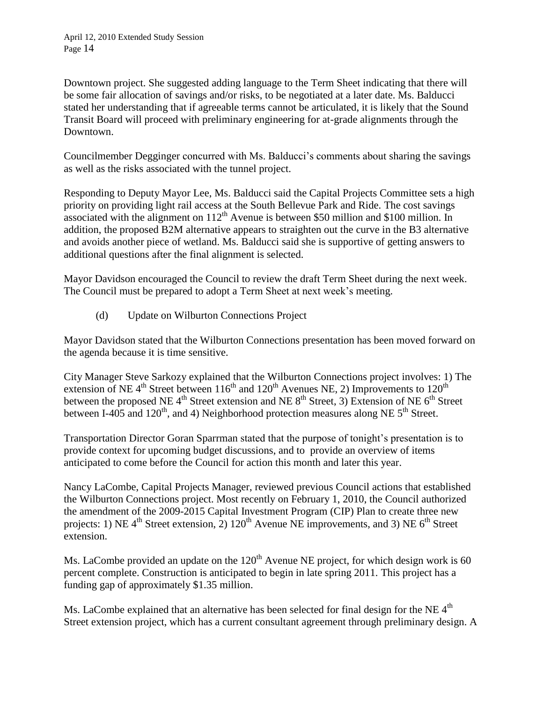Downtown project. She suggested adding language to the Term Sheet indicating that there will be some fair allocation of savings and/or risks, to be negotiated at a later date. Ms. Balducci stated her understanding that if agreeable terms cannot be articulated, it is likely that the Sound Transit Board will proceed with preliminary engineering for at-grade alignments through the Downtown.

Councilmember Degginger concurred with Ms. Balducci's comments about sharing the savings as well as the risks associated with the tunnel project.

Responding to Deputy Mayor Lee, Ms. Balducci said the Capital Projects Committee sets a high priority on providing light rail access at the South Bellevue Park and Ride. The cost savings associated with the alignment on  $112<sup>th</sup>$  Avenue is between \$50 million and \$100 million. In addition, the proposed B2M alternative appears to straighten out the curve in the B3 alternative and avoids another piece of wetland. Ms. Balducci said she is supportive of getting answers to additional questions after the final alignment is selected.

Mayor Davidson encouraged the Council to review the draft Term Sheet during the next week. The Council must be prepared to adopt a Term Sheet at next week's meeting.

(d) Update on Wilburton Connections Project

Mayor Davidson stated that the Wilburton Connections presentation has been moved forward on the agenda because it is time sensitive.

City Manager Steve Sarkozy explained that the Wilburton Connections project involves: 1) The extension of NE 4<sup>th</sup> Street between  $116<sup>th</sup>$  and  $120<sup>th</sup>$  Avenues NE, 2) Improvements to  $120<sup>th</sup>$ between the proposed NE 4<sup>th</sup> Street extension and NE  $8<sup>th</sup>$  Street, 3) Extension of NE  $6<sup>th</sup>$  Street between I-405 and 120<sup>th</sup>, and 4) Neighborhood protection measures along NE  $5<sup>th</sup>$  Street.

Transportation Director Goran Sparrman stated that the purpose of tonight's presentation is to provide context for upcoming budget discussions, and to provide an overview of items anticipated to come before the Council for action this month and later this year.

Nancy LaCombe, Capital Projects Manager, reviewed previous Council actions that established the Wilburton Connections project. Most recently on February 1, 2010, the Council authorized the amendment of the 2009-2015 Capital Investment Program (CIP) Plan to create three new projects: 1) NE 4<sup>th</sup> Street extension, 2)  $120<sup>th</sup>$  Avenue NE improvements, and 3) NE 6<sup>th</sup> Street extension.

Ms. LaCombe provided an update on the  $120<sup>th</sup>$  Avenue NE project, for which design work is 60 percent complete. Construction is anticipated to begin in late spring 2011. This project has a funding gap of approximately \$1.35 million.

Ms. LaCombe explained that an alternative has been selected for final design for the NE 4<sup>th</sup> Street extension project, which has a current consultant agreement through preliminary design. A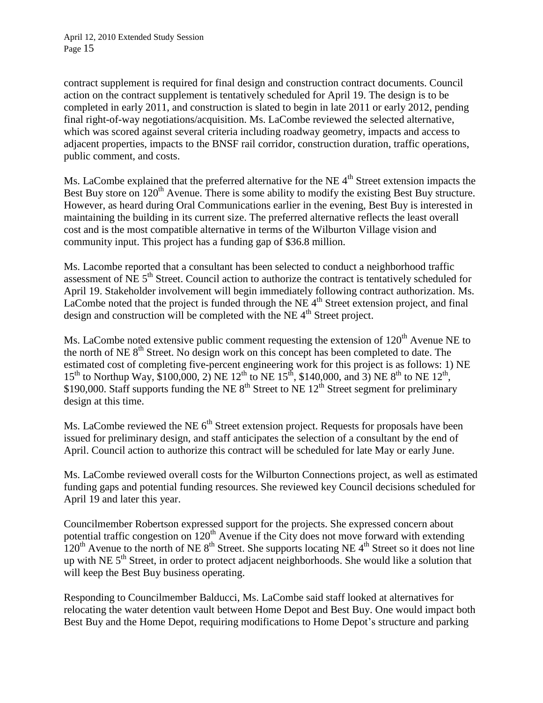contract supplement is required for final design and construction contract documents. Council action on the contract supplement is tentatively scheduled for April 19. The design is to be completed in early 2011, and construction is slated to begin in late 2011 or early 2012, pending final right-of-way negotiations/acquisition. Ms. LaCombe reviewed the selected alternative, which was scored against several criteria including roadway geometry, impacts and access to adjacent properties, impacts to the BNSF rail corridor, construction duration, traffic operations, public comment, and costs.

Ms. LaCombe explained that the preferred alternative for the NE 4<sup>th</sup> Street extension impacts the Best Buy store on 120<sup>th</sup> Avenue. There is some ability to modify the existing Best Buy structure. However, as heard during Oral Communications earlier in the evening, Best Buy is interested in maintaining the building in its current size. The preferred alternative reflects the least overall cost and is the most compatible alternative in terms of the Wilburton Village vision and community input. This project has a funding gap of \$36.8 million.

Ms. Lacombe reported that a consultant has been selected to conduct a neighborhood traffic assessment of NE 5<sup>th</sup> Street. Council action to authorize the contract is tentatively scheduled for April 19. Stakeholder involvement will begin immediately following contract authorization. Ms. LaCombe noted that the project is funded through the NE  $4<sup>th</sup>$  Street extension project, and final design and construction will be completed with the NE  $4<sup>th</sup>$  Street project.

Ms. LaCombe noted extensive public comment requesting the extension of  $120<sup>th</sup>$  Avenue NE to the north of NE 8<sup>th</sup> Street. No design work on this concept has been completed to date. The estimated cost of completing five-percent engineering work for this project is as follows: 1) NE 15<sup>th</sup> to Northup Way, \$100,000, 2) NE 12<sup>th</sup> to NE 15<sup>th</sup>, \$140,000, and 3) NE 8<sup>th</sup> to NE 12<sup>th</sup>, \$190,000. Staff supports funding the NE  $8<sup>th</sup>$  Street to NE  $12<sup>th</sup>$  Street segment for preliminary design at this time.

Ms. LaCombe reviewed the NE  $6<sup>th</sup>$  Street extension project. Requests for proposals have been issued for preliminary design, and staff anticipates the selection of a consultant by the end of April. Council action to authorize this contract will be scheduled for late May or early June.

Ms. LaCombe reviewed overall costs for the Wilburton Connections project, as well as estimated funding gaps and potential funding resources. She reviewed key Council decisions scheduled for April 19 and later this year.

Councilmember Robertson expressed support for the projects. She expressed concern about potential traffic congestion on  $120<sup>th</sup>$  Avenue if the City does not move forward with extending  $120<sup>th</sup>$  Avenue to the north of NE 8<sup>th</sup> Street. She supports locating NE 4<sup>th</sup> Street so it does not line up with NE 5<sup>th</sup> Street, in order to protect adjacent neighborhoods. She would like a solution that will keep the Best Buy business operating.

Responding to Councilmember Balducci, Ms. LaCombe said staff looked at alternatives for relocating the water detention vault between Home Depot and Best Buy. One would impact both Best Buy and the Home Depot, requiring modifications to Home Depot's structure and parking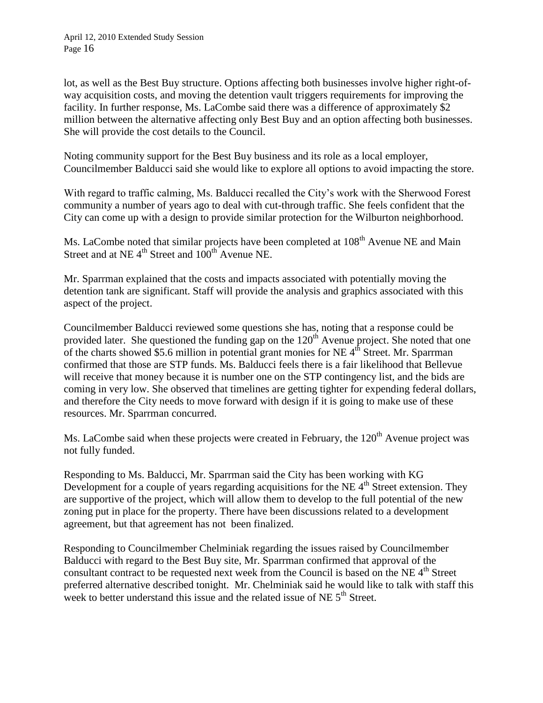lot, as well as the Best Buy structure. Options affecting both businesses involve higher right-ofway acquisition costs, and moving the detention vault triggers requirements for improving the facility. In further response, Ms. LaCombe said there was a difference of approximately \$2 million between the alternative affecting only Best Buy and an option affecting both businesses. She will provide the cost details to the Council.

Noting community support for the Best Buy business and its role as a local employer, Councilmember Balducci said she would like to explore all options to avoid impacting the store.

With regard to traffic calming, Ms. Balducci recalled the City's work with the Sherwood Forest community a number of years ago to deal with cut-through traffic. She feels confident that the City can come up with a design to provide similar protection for the Wilburton neighborhood.

Ms. LaCombe noted that similar projects have been completed at 108<sup>th</sup> Avenue NE and Main Street and at NE  $4<sup>th</sup>$  Street and  $100<sup>th</sup>$  Avenue NE.

Mr. Sparrman explained that the costs and impacts associated with potentially moving the detention tank are significant. Staff will provide the analysis and graphics associated with this aspect of the project.

Councilmember Balducci reviewed some questions she has, noting that a response could be provided later. She questioned the funding gap on the  $120<sup>th</sup>$  Avenue project. She noted that one of the charts showed \$5.6 million in potential grant monies for NE  $4<sup>th</sup>$  Street. Mr. Sparrman confirmed that those are STP funds. Ms. Balducci feels there is a fair likelihood that Bellevue will receive that money because it is number one on the STP contingency list, and the bids are coming in very low. She observed that timelines are getting tighter for expending federal dollars, and therefore the City needs to move forward with design if it is going to make use of these resources. Mr. Sparrman concurred.

Ms. LaCombe said when these projects were created in February, the  $120<sup>th</sup>$  Avenue project was not fully funded.

Responding to Ms. Balducci, Mr. Sparrman said the City has been working with KG Development for a couple of years regarding acquisitions for the NE  $4<sup>th</sup>$  Street extension. They are supportive of the project, which will allow them to develop to the full potential of the new zoning put in place for the property. There have been discussions related to a development agreement, but that agreement has not been finalized.

Responding to Councilmember Chelminiak regarding the issues raised by Councilmember Balducci with regard to the Best Buy site, Mr. Sparrman confirmed that approval of the consultant contract to be requested next week from the Council is based on the NE 4<sup>th</sup> Street preferred alternative described tonight. Mr. Chelminiak said he would like to talk with staff this week to better understand this issue and the related issue of NE  $5<sup>th</sup>$  Street.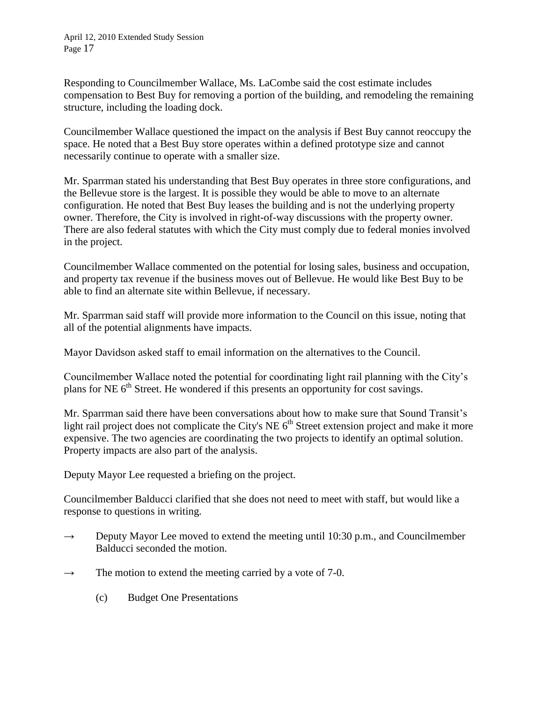Responding to Councilmember Wallace, Ms. LaCombe said the cost estimate includes compensation to Best Buy for removing a portion of the building, and remodeling the remaining structure, including the loading dock.

Councilmember Wallace questioned the impact on the analysis if Best Buy cannot reoccupy the space. He noted that a Best Buy store operates within a defined prototype size and cannot necessarily continue to operate with a smaller size.

Mr. Sparrman stated his understanding that Best Buy operates in three store configurations, and the Bellevue store is the largest. It is possible they would be able to move to an alternate configuration. He noted that Best Buy leases the building and is not the underlying property owner. Therefore, the City is involved in right-of-way discussions with the property owner. There are also federal statutes with which the City must comply due to federal monies involved in the project.

Councilmember Wallace commented on the potential for losing sales, business and occupation, and property tax revenue if the business moves out of Bellevue. He would like Best Buy to be able to find an alternate site within Bellevue, if necessary.

Mr. Sparrman said staff will provide more information to the Council on this issue, noting that all of the potential alignments have impacts.

Mayor Davidson asked staff to email information on the alternatives to the Council.

Councilmember Wallace noted the potential for coordinating light rail planning with the City's plans for NE  $6<sup>th</sup>$  Street. He wondered if this presents an opportunity for cost savings.

Mr. Sparrman said there have been conversations about how to make sure that Sound Transit's light rail project does not complicate the City's NE  $6<sup>th</sup>$  Street extension project and make it more expensive. The two agencies are coordinating the two projects to identify an optimal solution. Property impacts are also part of the analysis.

Deputy Mayor Lee requested a briefing on the project.

Councilmember Balducci clarified that she does not need to meet with staff, but would like a response to questions in writing.

- $\rightarrow$  Deputy Mayor Lee moved to extend the meeting until 10:30 p.m., and Councilmember Balducci seconded the motion.
- $\rightarrow$  The motion to extend the meeting carried by a vote of 7-0.
	- (c) Budget One Presentations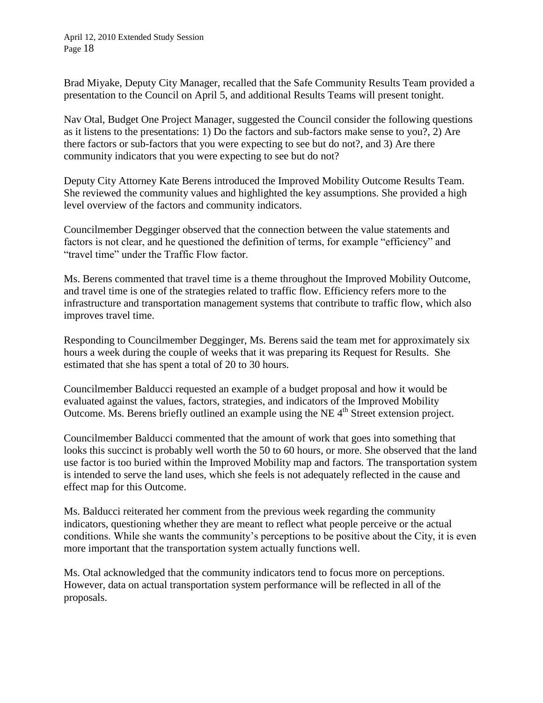April 12, 2010 Extended Study Session Page 18

Brad Miyake, Deputy City Manager, recalled that the Safe Community Results Team provided a presentation to the Council on April 5, and additional Results Teams will present tonight.

Nav Otal, Budget One Project Manager, suggested the Council consider the following questions as it listens to the presentations: 1) Do the factors and sub-factors make sense to you?, 2) Are there factors or sub-factors that you were expecting to see but do not?, and 3) Are there community indicators that you were expecting to see but do not?

Deputy City Attorney Kate Berens introduced the Improved Mobility Outcome Results Team. She reviewed the community values and highlighted the key assumptions. She provided a high level overview of the factors and community indicators.

Councilmember Degginger observed that the connection between the value statements and factors is not clear, and he questioned the definition of terms, for example "efficiency" and "travel time" under the Traffic Flow factor.

Ms. Berens commented that travel time is a theme throughout the Improved Mobility Outcome, and travel time is one of the strategies related to traffic flow. Efficiency refers more to the infrastructure and transportation management systems that contribute to traffic flow, which also improves travel time.

Responding to Councilmember Degginger, Ms. Berens said the team met for approximately six hours a week during the couple of weeks that it was preparing its Request for Results. She estimated that she has spent a total of 20 to 30 hours.

Councilmember Balducci requested an example of a budget proposal and how it would be evaluated against the values, factors, strategies, and indicators of the Improved Mobility Outcome. Ms. Berens briefly outlined an example using the NE 4<sup>th</sup> Street extension project.

Councilmember Balducci commented that the amount of work that goes into something that looks this succinct is probably well worth the 50 to 60 hours, or more. She observed that the land use factor is too buried within the Improved Mobility map and factors. The transportation system is intended to serve the land uses, which she feels is not adequately reflected in the cause and effect map for this Outcome.

Ms. Balducci reiterated her comment from the previous week regarding the community indicators, questioning whether they are meant to reflect what people perceive or the actual conditions. While she wants the community's perceptions to be positive about the City, it is even more important that the transportation system actually functions well.

Ms. Otal acknowledged that the community indicators tend to focus more on perceptions. However, data on actual transportation system performance will be reflected in all of the proposals.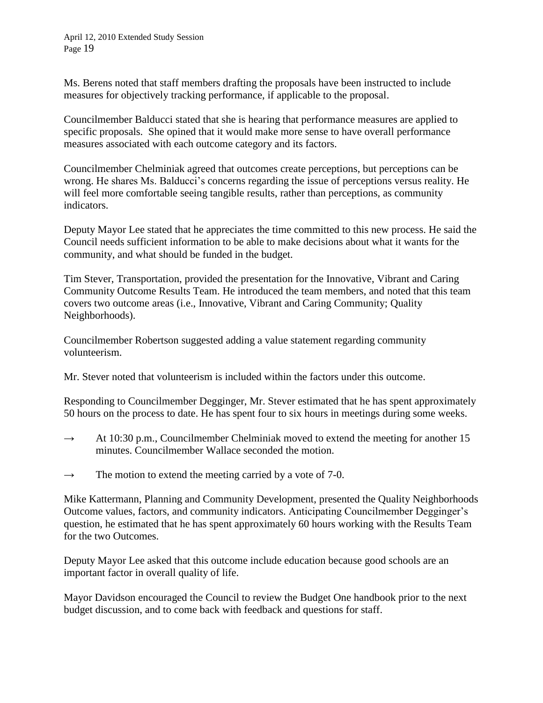April 12, 2010 Extended Study Session Page 19

Ms. Berens noted that staff members drafting the proposals have been instructed to include measures for objectively tracking performance, if applicable to the proposal.

Councilmember Balducci stated that she is hearing that performance measures are applied to specific proposals. She opined that it would make more sense to have overall performance measures associated with each outcome category and its factors.

Councilmember Chelminiak agreed that outcomes create perceptions, but perceptions can be wrong. He shares Ms. Balducci's concerns regarding the issue of perceptions versus reality. He will feel more comfortable seeing tangible results, rather than perceptions, as community indicators.

Deputy Mayor Lee stated that he appreciates the time committed to this new process. He said the Council needs sufficient information to be able to make decisions about what it wants for the community, and what should be funded in the budget.

Tim Stever, Transportation, provided the presentation for the Innovative, Vibrant and Caring Community Outcome Results Team. He introduced the team members, and noted that this team covers two outcome areas (i.e., Innovative, Vibrant and Caring Community; Quality Neighborhoods).

Councilmember Robertson suggested adding a value statement regarding community volunteerism.

Mr. Stever noted that volunteerism is included within the factors under this outcome.

Responding to Councilmember Degginger, Mr. Stever estimated that he has spent approximately 50 hours on the process to date. He has spent four to six hours in meetings during some weeks.

- $\rightarrow$  At 10:30 p.m., Councilmember Chelminiak moved to extend the meeting for another 15 minutes. Councilmember Wallace seconded the motion.
- $\rightarrow$  The motion to extend the meeting carried by a vote of 7-0.

Mike Kattermann, Planning and Community Development, presented the Quality Neighborhoods Outcome values, factors, and community indicators. Anticipating Councilmember Degginger's question, he estimated that he has spent approximately 60 hours working with the Results Team for the two Outcomes.

Deputy Mayor Lee asked that this outcome include education because good schools are an important factor in overall quality of life.

Mayor Davidson encouraged the Council to review the Budget One handbook prior to the next budget discussion, and to come back with feedback and questions for staff.